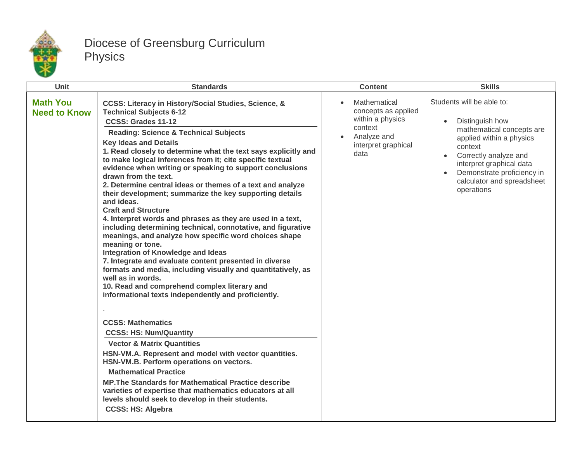

## Diocese of Greensburg Curriculum **Physics**

| Unit                                   | <b>Standards</b>                                                                                                                                                                                                                                                                                                                                                                                                                                                                                                                                                                                                                                                                                                                                                                                                                                                                                                                                                                                                                                                                                                                                                                                                                                                                                                                                                                                                                                                                                                                                      | <b>Content</b>                                                                                                   | <b>Skills</b>                                                                                                                                                                                                                                                                          |
|----------------------------------------|-------------------------------------------------------------------------------------------------------------------------------------------------------------------------------------------------------------------------------------------------------------------------------------------------------------------------------------------------------------------------------------------------------------------------------------------------------------------------------------------------------------------------------------------------------------------------------------------------------------------------------------------------------------------------------------------------------------------------------------------------------------------------------------------------------------------------------------------------------------------------------------------------------------------------------------------------------------------------------------------------------------------------------------------------------------------------------------------------------------------------------------------------------------------------------------------------------------------------------------------------------------------------------------------------------------------------------------------------------------------------------------------------------------------------------------------------------------------------------------------------------------------------------------------------------|------------------------------------------------------------------------------------------------------------------|----------------------------------------------------------------------------------------------------------------------------------------------------------------------------------------------------------------------------------------------------------------------------------------|
| <b>Math You</b><br><b>Need to Know</b> | CCSS: Literacy in History/Social Studies, Science, &<br><b>Technical Subjects 6-12</b><br>CCSS: Grades 11-12<br><b>Reading: Science &amp; Technical Subjects</b><br><b>Key Ideas and Details</b><br>1. Read closely to determine what the text says explicitly and<br>to make logical inferences from it; cite specific textual<br>evidence when writing or speaking to support conclusions<br>drawn from the text.<br>2. Determine central ideas or themes of a text and analyze<br>their development; summarize the key supporting details<br>and ideas.<br><b>Craft and Structure</b><br>4. Interpret words and phrases as they are used in a text,<br>including determining technical, connotative, and figurative<br>meanings, and analyze how specific word choices shape<br>meaning or tone.<br>Integration of Knowledge and Ideas<br>7. Integrate and evaluate content presented in diverse<br>formats and media, including visually and quantitatively, as<br>well as in words.<br>10. Read and comprehend complex literary and<br>informational texts independently and proficiently.<br><b>CCSS: Mathematics</b><br><b>CCSS: HS: Num/Quantity</b><br><b>Vector &amp; Matrix Quantities</b><br>HSN-VM.A. Represent and model with vector quantities.<br>HSN-VM.B. Perform operations on vectors.<br><b>Mathematical Practice</b><br><b>MP. The Standards for Mathematical Practice describe</b><br>varieties of expertise that mathematics educators at all<br>levels should seek to develop in their students.<br><b>CCSS: HS: Algebra</b> | Mathematical<br>concepts as applied<br>within a physics<br>context<br>Analyze and<br>interpret graphical<br>data | Students will be able to:<br>Distinguish how<br>$\bullet$<br>mathematical concepts are<br>applied within a physics<br>context<br>Correctly analyze and<br>$\bullet$<br>interpret graphical data<br>Demonstrate proficiency in<br>$\bullet$<br>calculator and spreadsheet<br>operations |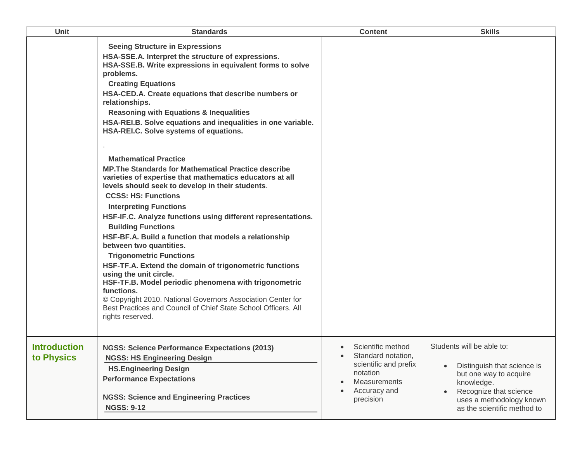| <b>Unit</b>                       | <b>Standards</b>                                                                                                                                                                                                                                                                                                                                                                                                                                                                                                                                                                                                                                                                                                                                                                                                                                                                                                                                                                                                                                                                                                                                                                                                                                               | <b>Content</b>                                                                                                                                      | <b>Skills</b>                                                                                                                                                                         |
|-----------------------------------|----------------------------------------------------------------------------------------------------------------------------------------------------------------------------------------------------------------------------------------------------------------------------------------------------------------------------------------------------------------------------------------------------------------------------------------------------------------------------------------------------------------------------------------------------------------------------------------------------------------------------------------------------------------------------------------------------------------------------------------------------------------------------------------------------------------------------------------------------------------------------------------------------------------------------------------------------------------------------------------------------------------------------------------------------------------------------------------------------------------------------------------------------------------------------------------------------------------------------------------------------------------|-----------------------------------------------------------------------------------------------------------------------------------------------------|---------------------------------------------------------------------------------------------------------------------------------------------------------------------------------------|
|                                   | <b>Seeing Structure in Expressions</b><br>HSA-SSE.A. Interpret the structure of expressions.<br>HSA-SSE.B. Write expressions in equivalent forms to solve<br>problems.<br><b>Creating Equations</b><br>HSA-CED.A. Create equations that describe numbers or<br>relationships.<br><b>Reasoning with Equations &amp; Inequalities</b><br>HSA-REI.B. Solve equations and inequalities in one variable.<br>HSA-REI.C. Solve systems of equations.<br><b>Mathematical Practice</b><br><b>MP. The Standards for Mathematical Practice describe</b><br>varieties of expertise that mathematics educators at all<br>levels should seek to develop in their students.<br><b>CCSS: HS: Functions</b><br><b>Interpreting Functions</b><br>HSF-IF.C. Analyze functions using different representations.<br><b>Building Functions</b><br>HSF-BF.A. Build a function that models a relationship<br>between two quantities.<br><b>Trigonometric Functions</b><br>HSF-TF.A. Extend the domain of trigonometric functions<br>using the unit circle.<br>HSF-TF.B. Model periodic phenomena with trigonometric<br>functions.<br>© Copyright 2010. National Governors Association Center for<br>Best Practices and Council of Chief State School Officers. All<br>rights reserved. |                                                                                                                                                     |                                                                                                                                                                                       |
| <b>Introduction</b><br>to Physics | <b>NGSS: Science Performance Expectations (2013)</b><br><b>NGSS: HS Engineering Design</b><br><b>HS.Engineering Design</b><br><b>Performance Expectations</b><br><b>NGSS: Science and Engineering Practices</b><br><b>NGSS: 9-12</b>                                                                                                                                                                                                                                                                                                                                                                                                                                                                                                                                                                                                                                                                                                                                                                                                                                                                                                                                                                                                                           | Scientific method<br>$\bullet$<br>Standard notation,<br>scientific and prefix<br>notation<br>Measurements<br>$\bullet$<br>Accuracy and<br>precision | Students will be able to:<br>Distinguish that science is<br>but one way to acquire<br>knowledge.<br>Recognize that science<br>uses a methodology known<br>as the scientific method to |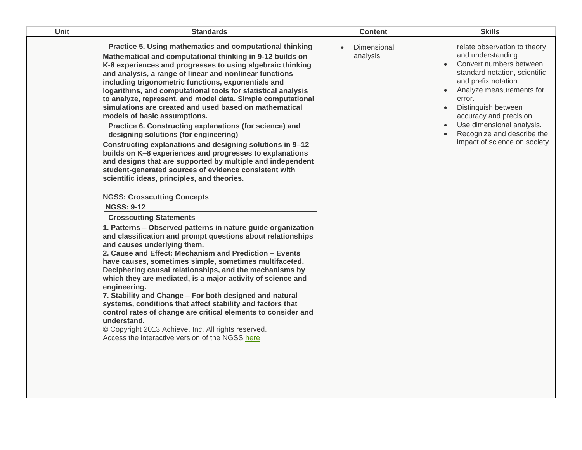| Unit | <b>Standards</b>                                                                                                                                                                                                                                                                                                                                                                                                                                                                                                                                                                                                                                                                                                                                                                                                                                                                                                                  | <b>Content</b>          | <b>Skills</b>                                                                                                                                                                                                                                                                                                                                       |
|------|-----------------------------------------------------------------------------------------------------------------------------------------------------------------------------------------------------------------------------------------------------------------------------------------------------------------------------------------------------------------------------------------------------------------------------------------------------------------------------------------------------------------------------------------------------------------------------------------------------------------------------------------------------------------------------------------------------------------------------------------------------------------------------------------------------------------------------------------------------------------------------------------------------------------------------------|-------------------------|-----------------------------------------------------------------------------------------------------------------------------------------------------------------------------------------------------------------------------------------------------------------------------------------------------------------------------------------------------|
|      | Practice 5. Using mathematics and computational thinking<br>Mathematical and computational thinking in 9-12 builds on<br>K-8 experiences and progresses to using algebraic thinking<br>and analysis, a range of linear and nonlinear functions<br>including trigonometric functions, exponentials and<br>logarithms, and computational tools for statistical analysis<br>to analyze, represent, and model data. Simple computational<br>simulations are created and used based on mathematical<br>models of basic assumptions.<br>Practice 6. Constructing explanations (for science) and<br>designing solutions (for engineering)<br>Constructing explanations and designing solutions in 9-12<br>builds on K-8 experiences and progresses to explanations<br>and designs that are supported by multiple and independent<br>student-generated sources of evidence consistent with<br>scientific ideas, principles, and theories. | Dimensional<br>analysis | relate observation to theory<br>and understanding.<br>Convert numbers between<br>standard notation, scientific<br>and prefix notation.<br>Analyze measurements for<br>error.<br>Distinguish between<br>$\bullet$<br>accuracy and precision.<br>Use dimensional analysis.<br>$\bullet$<br>Recognize and describe the<br>impact of science on society |
|      | <b>NGSS: Crosscutting Concepts</b><br><b>NGSS: 9-12</b><br><b>Crosscutting Statements</b><br>1. Patterns - Observed patterns in nature guide organization<br>and classification and prompt questions about relationships<br>and causes underlying them.<br>2. Cause and Effect: Mechanism and Prediction - Events<br>have causes, sometimes simple, sometimes multifaceted.<br>Deciphering causal relationships, and the mechanisms by<br>which they are mediated, is a major activity of science and<br>engineering.<br>7. Stability and Change - For both designed and natural<br>systems, conditions that affect stability and factors that<br>control rates of change are critical elements to consider and<br>understand.<br>© Copyright 2013 Achieve, Inc. All rights reserved.<br>Access the interactive version of the NGSS here                                                                                          |                         |                                                                                                                                                                                                                                                                                                                                                     |
|      |                                                                                                                                                                                                                                                                                                                                                                                                                                                                                                                                                                                                                                                                                                                                                                                                                                                                                                                                   |                         |                                                                                                                                                                                                                                                                                                                                                     |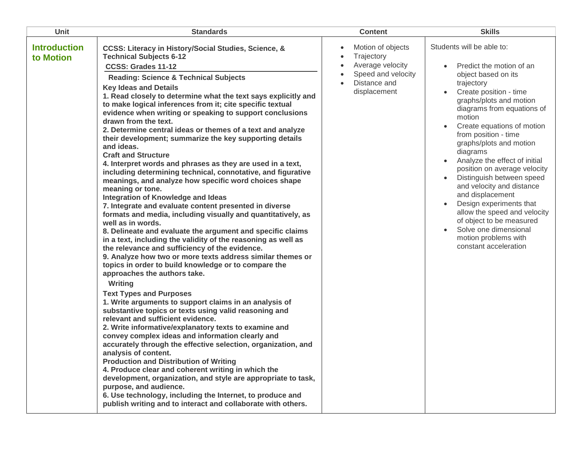| <b>Unit</b>                      | <b>Standards</b>                                                                                                                                                                                                                                                                                                                                                                                                                                                                                                                                                                                                                                                                                                                                                                                                                                                                                                                                                                                                                                                                                                                                                                                                                                                                                                                                                                                                                                                                                                                                                                                                                                                                                                                                                                                                                                                                                                                                                                                                                                                                     | <b>Content</b>                                                                                                                                                | <b>Skills</b>                                                                                                                                                                                                                                                                                                                                                                                                                                                                                                                                                                                                     |
|----------------------------------|--------------------------------------------------------------------------------------------------------------------------------------------------------------------------------------------------------------------------------------------------------------------------------------------------------------------------------------------------------------------------------------------------------------------------------------------------------------------------------------------------------------------------------------------------------------------------------------------------------------------------------------------------------------------------------------------------------------------------------------------------------------------------------------------------------------------------------------------------------------------------------------------------------------------------------------------------------------------------------------------------------------------------------------------------------------------------------------------------------------------------------------------------------------------------------------------------------------------------------------------------------------------------------------------------------------------------------------------------------------------------------------------------------------------------------------------------------------------------------------------------------------------------------------------------------------------------------------------------------------------------------------------------------------------------------------------------------------------------------------------------------------------------------------------------------------------------------------------------------------------------------------------------------------------------------------------------------------------------------------------------------------------------------------------------------------------------------------|---------------------------------------------------------------------------------------------------------------------------------------------------------------|-------------------------------------------------------------------------------------------------------------------------------------------------------------------------------------------------------------------------------------------------------------------------------------------------------------------------------------------------------------------------------------------------------------------------------------------------------------------------------------------------------------------------------------------------------------------------------------------------------------------|
| <b>Introduction</b><br>to Motion | <b>CCSS: Literacy in History/Social Studies, Science, &amp;</b><br><b>Technical Subjects 6-12</b><br>CCSS: Grades 11-12<br><b>Reading: Science &amp; Technical Subjects</b><br><b>Key Ideas and Details</b><br>1. Read closely to determine what the text says explicitly and<br>to make logical inferences from it; cite specific textual<br>evidence when writing or speaking to support conclusions<br>drawn from the text.<br>2. Determine central ideas or themes of a text and analyze<br>their development; summarize the key supporting details<br>and ideas.<br><b>Craft and Structure</b><br>4. Interpret words and phrases as they are used in a text,<br>including determining technical, connotative, and figurative<br>meanings, and analyze how specific word choices shape<br>meaning or tone.<br>Integration of Knowledge and Ideas<br>7. Integrate and evaluate content presented in diverse<br>formats and media, including visually and quantitatively, as<br>well as in words.<br>8. Delineate and evaluate the argument and specific claims<br>in a text, including the validity of the reasoning as well as<br>the relevance and sufficiency of the evidence.<br>9. Analyze how two or more texts address similar themes or<br>topics in order to build knowledge or to compare the<br>approaches the authors take.<br>Writing<br><b>Text Types and Purposes</b><br>1. Write arguments to support claims in an analysis of<br>substantive topics or texts using valid reasoning and<br>relevant and sufficient evidence.<br>2. Write informative/explanatory texts to examine and<br>convey complex ideas and information clearly and<br>accurately through the effective selection, organization, and<br>analysis of content.<br><b>Production and Distribution of Writing</b><br>4. Produce clear and coherent writing in which the<br>development, organization, and style are appropriate to task,<br>purpose, and audience.<br>6. Use technology, including the Internet, to produce and<br>publish writing and to interact and collaborate with others. | Motion of objects<br>$\bullet$<br>Trajectory<br>$\bullet$<br>Average velocity<br>$\bullet$<br>Speed and velocity<br>$\bullet$<br>Distance and<br>displacement | Students will be able to:<br>Predict the motion of an<br>object based on its<br>trajectory<br>Create position - time<br>graphs/plots and motion<br>diagrams from equations of<br>motion<br>Create equations of motion<br>from position - time<br>graphs/plots and motion<br>diagrams<br>Analyze the effect of initial<br>position on average velocity<br>Distinguish between speed<br>$\bullet$<br>and velocity and distance<br>and displacement<br>Design experiments that<br>allow the speed and velocity<br>of object to be measured<br>Solve one dimensional<br>motion problems with<br>constant acceleration |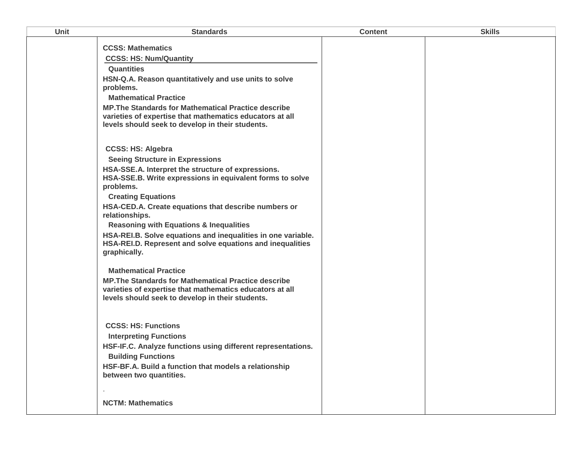| Unit | <b>Standards</b>                                                                                                                                                            | <b>Content</b> | <b>Skills</b> |
|------|-----------------------------------------------------------------------------------------------------------------------------------------------------------------------------|----------------|---------------|
|      | <b>CCSS: Mathematics</b>                                                                                                                                                    |                |               |
|      | <b>CCSS: HS: Num/Quantity</b>                                                                                                                                               |                |               |
|      | <b>Quantities</b>                                                                                                                                                           |                |               |
|      | HSN-Q.A. Reason quantitatively and use units to solve<br>problems.                                                                                                          |                |               |
|      | <b>Mathematical Practice</b>                                                                                                                                                |                |               |
|      | <b>MP. The Standards for Mathematical Practice describe</b><br>varieties of expertise that mathematics educators at all<br>levels should seek to develop in their students. |                |               |
|      | <b>CCSS: HS: Algebra</b>                                                                                                                                                    |                |               |
|      | <b>Seeing Structure in Expressions</b>                                                                                                                                      |                |               |
|      | HSA-SSE.A. Interpret the structure of expressions.<br>HSA-SSE.B. Write expressions in equivalent forms to solve<br>problems.                                                |                |               |
|      | <b>Creating Equations</b>                                                                                                                                                   |                |               |
|      | HSA-CED.A. Create equations that describe numbers or<br>relationships.                                                                                                      |                |               |
|      | <b>Reasoning with Equations &amp; Inequalities</b>                                                                                                                          |                |               |
|      | HSA-REI.B. Solve equations and inequalities in one variable.<br>HSA-REI.D. Represent and solve equations and inequalities<br>graphically.                                   |                |               |
|      | <b>Mathematical Practice</b>                                                                                                                                                |                |               |
|      | <b>MP. The Standards for Mathematical Practice describe</b><br>varieties of expertise that mathematics educators at all<br>levels should seek to develop in their students. |                |               |
|      |                                                                                                                                                                             |                |               |
|      | <b>CCSS: HS: Functions</b>                                                                                                                                                  |                |               |
|      | <b>Interpreting Functions</b>                                                                                                                                               |                |               |
|      | HSF-IF.C. Analyze functions using different representations.<br><b>Building Functions</b>                                                                                   |                |               |
|      | HSF-BF.A. Build a function that models a relationship                                                                                                                       |                |               |
|      | between two quantities.                                                                                                                                                     |                |               |
|      |                                                                                                                                                                             |                |               |
|      | <b>NCTM: Mathematics</b>                                                                                                                                                    |                |               |
|      |                                                                                                                                                                             |                |               |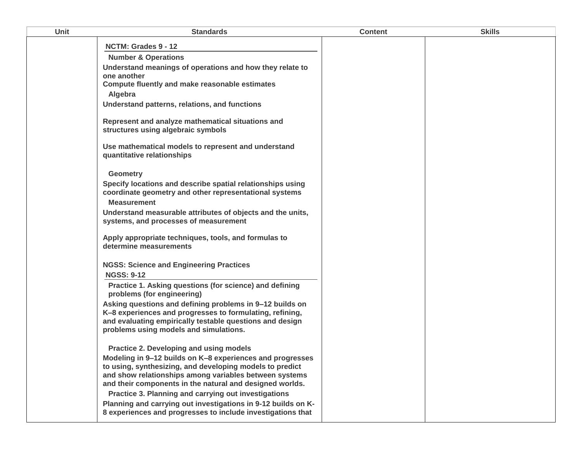| <b>Unit</b> | <b>Standards</b>                                                                                                     | <b>Content</b> | <b>Skills</b> |
|-------------|----------------------------------------------------------------------------------------------------------------------|----------------|---------------|
|             | NCTM: Grades 9 - 12                                                                                                  |                |               |
|             | <b>Number &amp; Operations</b>                                                                                       |                |               |
|             | Understand meanings of operations and how they relate to                                                             |                |               |
|             | one another<br>Compute fluently and make reasonable estimates                                                        |                |               |
|             | Algebra                                                                                                              |                |               |
|             | Understand patterns, relations, and functions                                                                        |                |               |
|             |                                                                                                                      |                |               |
|             | Represent and analyze mathematical situations and<br>structures using algebraic symbols                              |                |               |
|             |                                                                                                                      |                |               |
|             | Use mathematical models to represent and understand<br>quantitative relationships                                    |                |               |
|             |                                                                                                                      |                |               |
|             | <b>Geometry</b>                                                                                                      |                |               |
|             | Specify locations and describe spatial relationships using                                                           |                |               |
|             | coordinate geometry and other representational systems<br><b>Measurement</b>                                         |                |               |
|             | Understand measurable attributes of objects and the units,                                                           |                |               |
|             | systems, and processes of measurement                                                                                |                |               |
|             | Apply appropriate techniques, tools, and formulas to                                                                 |                |               |
|             | determine measurements                                                                                               |                |               |
|             |                                                                                                                      |                |               |
|             | <b>NGSS: Science and Engineering Practices</b><br><b>NGSS: 9-12</b>                                                  |                |               |
|             | Practice 1. Asking questions (for science) and defining                                                              |                |               |
|             | problems (for engineering)                                                                                           |                |               |
|             | Asking questions and defining problems in 9-12 builds on                                                             |                |               |
|             | K-8 experiences and progresses to formulating, refining,<br>and evaluating empirically testable questions and design |                |               |
|             | problems using models and simulations.                                                                               |                |               |
|             |                                                                                                                      |                |               |
|             | <b>Practice 2. Developing and using models</b><br>Modeling in 9-12 builds on K-8 experiences and progresses          |                |               |
|             | to using, synthesizing, and developing models to predict                                                             |                |               |
|             | and show relationships among variables between systems                                                               |                |               |
|             | and their components in the natural and designed worlds.<br>Practice 3. Planning and carrying out investigations     |                |               |
|             | Planning and carrying out investigations in 9-12 builds on K-                                                        |                |               |
|             | 8 experiences and progresses to include investigations that                                                          |                |               |
|             |                                                                                                                      |                |               |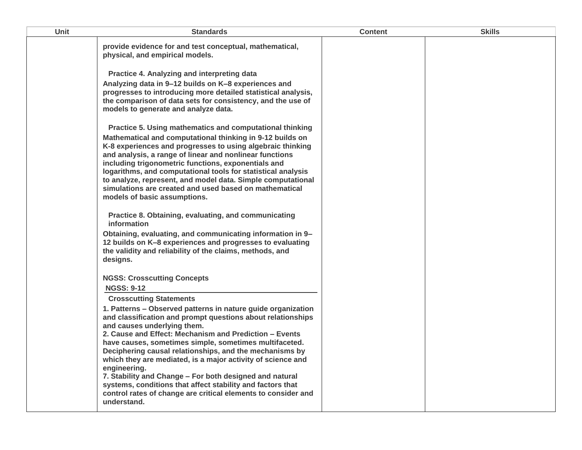| Unit | <b>Standards</b>                                                                                                                                                                                                                                                                                                                                                                                                                                                                                                                                                                                                                                                                                                               | <b>Content</b> | <b>Skills</b> |
|------|--------------------------------------------------------------------------------------------------------------------------------------------------------------------------------------------------------------------------------------------------------------------------------------------------------------------------------------------------------------------------------------------------------------------------------------------------------------------------------------------------------------------------------------------------------------------------------------------------------------------------------------------------------------------------------------------------------------------------------|----------------|---------------|
|      | provide evidence for and test conceptual, mathematical,<br>physical, and empirical models.                                                                                                                                                                                                                                                                                                                                                                                                                                                                                                                                                                                                                                     |                |               |
|      | Practice 4. Analyzing and interpreting data<br>Analyzing data in 9-12 builds on K-8 experiences and<br>progresses to introducing more detailed statistical analysis,<br>the comparison of data sets for consistency, and the use of<br>models to generate and analyze data.                                                                                                                                                                                                                                                                                                                                                                                                                                                    |                |               |
|      | <b>Practice 5. Using mathematics and computational thinking</b><br>Mathematical and computational thinking in 9-12 builds on<br>K-8 experiences and progresses to using algebraic thinking<br>and analysis, a range of linear and nonlinear functions<br>including trigonometric functions, exponentials and<br>logarithms, and computational tools for statistical analysis<br>to analyze, represent, and model data. Simple computational<br>simulations are created and used based on mathematical<br>models of basic assumptions.                                                                                                                                                                                          |                |               |
|      | Practice 8. Obtaining, evaluating, and communicating<br>information<br>Obtaining, evaluating, and communicating information in 9-<br>12 builds on K-8 experiences and progresses to evaluating<br>the validity and reliability of the claims, methods, and<br>designs.                                                                                                                                                                                                                                                                                                                                                                                                                                                         |                |               |
|      | <b>NGSS: Crosscutting Concepts</b><br><b>NGSS: 9-12</b><br><b>Crosscutting Statements</b><br>1. Patterns – Observed patterns in nature guide organization<br>and classification and prompt questions about relationships<br>and causes underlying them.<br>2. Cause and Effect: Mechanism and Prediction - Events<br>have causes, sometimes simple, sometimes multifaceted.<br>Deciphering causal relationships, and the mechanisms by<br>which they are mediated, is a major activity of science and<br>engineering.<br>7. Stability and Change - For both designed and natural<br>systems, conditions that affect stability and factors that<br>control rates of change are critical elements to consider and<br>understand. |                |               |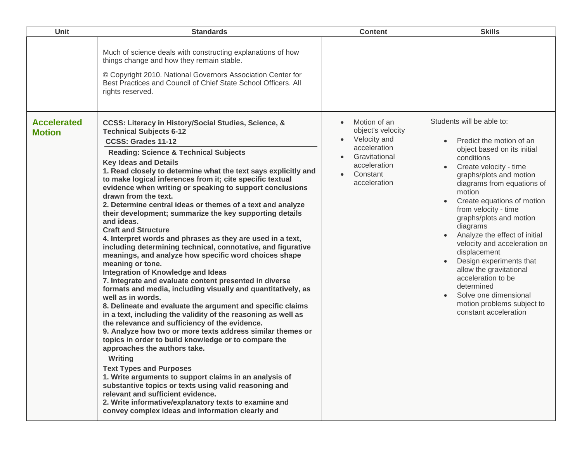| Unit               | <b>Standards</b>                                                                                                                                                                                                                                                                                                                                                                                                                                                                                                                                                                                                                                                                                                                                                                                                                                                                                                                                                                                                                                                                                                                                                                                                                                                                                                                                                                                                                                                                                                                                                                                        | <b>Content</b>                                                                                                              | <b>Skills</b>                                                                                                                                                                                                                                                                                                                                                                                                                                                                                                                           |
|--------------------|---------------------------------------------------------------------------------------------------------------------------------------------------------------------------------------------------------------------------------------------------------------------------------------------------------------------------------------------------------------------------------------------------------------------------------------------------------------------------------------------------------------------------------------------------------------------------------------------------------------------------------------------------------------------------------------------------------------------------------------------------------------------------------------------------------------------------------------------------------------------------------------------------------------------------------------------------------------------------------------------------------------------------------------------------------------------------------------------------------------------------------------------------------------------------------------------------------------------------------------------------------------------------------------------------------------------------------------------------------------------------------------------------------------------------------------------------------------------------------------------------------------------------------------------------------------------------------------------------------|-----------------------------------------------------------------------------------------------------------------------------|-----------------------------------------------------------------------------------------------------------------------------------------------------------------------------------------------------------------------------------------------------------------------------------------------------------------------------------------------------------------------------------------------------------------------------------------------------------------------------------------------------------------------------------------|
| <b>Accelerated</b> | Much of science deals with constructing explanations of how<br>things change and how they remain stable.<br>© Copyright 2010. National Governors Association Center for<br>Best Practices and Council of Chief State School Officers. All<br>rights reserved.<br>CCSS: Literacy in History/Social Studies, Science, &                                                                                                                                                                                                                                                                                                                                                                                                                                                                                                                                                                                                                                                                                                                                                                                                                                                                                                                                                                                                                                                                                                                                                                                                                                                                                   | Motion of an                                                                                                                | Students will be able to:                                                                                                                                                                                                                                                                                                                                                                                                                                                                                                               |
| <b>Motion</b>      | <b>Technical Subjects 6-12</b><br>CCSS: Grades 11-12<br><b>Reading: Science &amp; Technical Subjects</b><br><b>Key Ideas and Details</b><br>1. Read closely to determine what the text says explicitly and<br>to make logical inferences from it; cite specific textual<br>evidence when writing or speaking to support conclusions<br>drawn from the text.<br>2. Determine central ideas or themes of a text and analyze<br>their development; summarize the key supporting details<br>and ideas.<br><b>Craft and Structure</b><br>4. Interpret words and phrases as they are used in a text,<br>including determining technical, connotative, and figurative<br>meanings, and analyze how specific word choices shape<br>meaning or tone.<br><b>Integration of Knowledge and Ideas</b><br>7. Integrate and evaluate content presented in diverse<br>formats and media, including visually and quantitatively, as<br>well as in words.<br>8. Delineate and evaluate the argument and specific claims<br>in a text, including the validity of the reasoning as well as<br>the relevance and sufficiency of the evidence.<br>9. Analyze how two or more texts address similar themes or<br>topics in order to build knowledge or to compare the<br>approaches the authors take.<br><b>Writing</b><br><b>Text Types and Purposes</b><br>1. Write arguments to support claims in an analysis of<br>substantive topics or texts using valid reasoning and<br>relevant and sufficient evidence.<br>2. Write informative/explanatory texts to examine and<br>convey complex ideas and information clearly and | object's velocity<br>Velocity and<br>$\bullet$<br>acceleration<br>Gravitational<br>acceleration<br>Constant<br>acceleration | Predict the motion of an<br>object based on its initial<br>conditions<br>Create velocity - time<br>graphs/plots and motion<br>diagrams from equations of<br>motion<br>Create equations of motion<br>from velocity - time<br>graphs/plots and motion<br>diagrams<br>Analyze the effect of initial<br>$\bullet$<br>velocity and acceleration on<br>displacement<br>Design experiments that<br>allow the gravitational<br>acceleration to be<br>determined<br>Solve one dimensional<br>motion problems subject to<br>constant acceleration |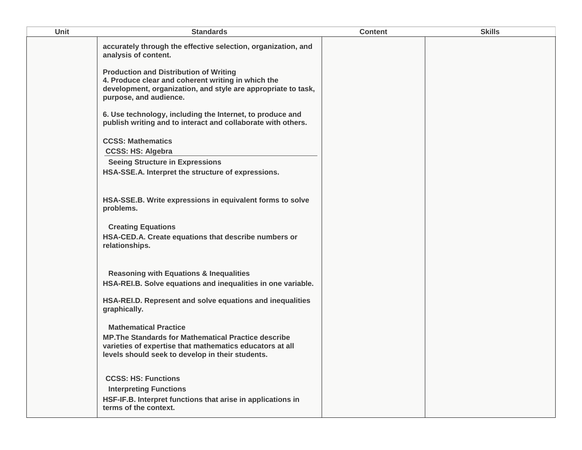| <b>Unit</b> | <b>Standards</b>                                                                                                                                                                                            | <b>Content</b> | <b>Skills</b> |
|-------------|-------------------------------------------------------------------------------------------------------------------------------------------------------------------------------------------------------------|----------------|---------------|
|             | accurately through the effective selection, organization, and<br>analysis of content.                                                                                                                       |                |               |
|             | <b>Production and Distribution of Writing</b><br>4. Produce clear and coherent writing in which the<br>development, organization, and style are appropriate to task,<br>purpose, and audience.              |                |               |
|             | 6. Use technology, including the Internet, to produce and<br>publish writing and to interact and collaborate with others.                                                                                   |                |               |
|             | <b>CCSS: Mathematics</b><br><b>CCSS: HS: Algebra</b>                                                                                                                                                        |                |               |
|             | <b>Seeing Structure in Expressions</b><br>HSA-SSE.A. Interpret the structure of expressions.                                                                                                                |                |               |
|             | HSA-SSE.B. Write expressions in equivalent forms to solve<br>problems.                                                                                                                                      |                |               |
|             | <b>Creating Equations</b><br>HSA-CED.A. Create equations that describe numbers or<br>relationships.                                                                                                         |                |               |
|             | <b>Reasoning with Equations &amp; Inequalities</b><br>HSA-REI.B. Solve equations and inequalities in one variable.                                                                                          |                |               |
|             | HSA-REI.D. Represent and solve equations and inequalities<br>graphically.                                                                                                                                   |                |               |
|             | <b>Mathematical Practice</b><br><b>MP. The Standards for Mathematical Practice describe</b><br>varieties of expertise that mathematics educators at all<br>levels should seek to develop in their students. |                |               |
|             | <b>CCSS: HS: Functions</b><br><b>Interpreting Functions</b><br>HSF-IF.B. Interpret functions that arise in applications in<br>terms of the context.                                                         |                |               |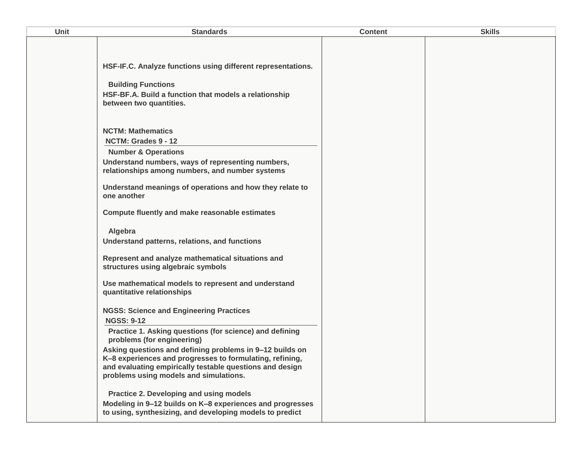| <b>Unit</b> | <b>Standards</b>                                                                                                     | <b>Content</b> | <b>Skills</b> |
|-------------|----------------------------------------------------------------------------------------------------------------------|----------------|---------------|
|             |                                                                                                                      |                |               |
|             |                                                                                                                      |                |               |
|             | HSF-IF.C. Analyze functions using different representations.                                                         |                |               |
|             | <b>Building Functions</b>                                                                                            |                |               |
|             | HSF-BF.A. Build a function that models a relationship                                                                |                |               |
|             | between two quantities.                                                                                              |                |               |
|             |                                                                                                                      |                |               |
|             | <b>NCTM: Mathematics</b>                                                                                             |                |               |
|             | NCTM: Grades 9 - 12                                                                                                  |                |               |
|             | <b>Number &amp; Operations</b>                                                                                       |                |               |
|             | Understand numbers, ways of representing numbers,                                                                    |                |               |
|             | relationships among numbers, and number systems                                                                      |                |               |
|             | Understand meanings of operations and how they relate to                                                             |                |               |
|             | one another                                                                                                          |                |               |
|             | Compute fluently and make reasonable estimates                                                                       |                |               |
|             |                                                                                                                      |                |               |
|             | Algebra                                                                                                              |                |               |
|             | Understand patterns, relations, and functions                                                                        |                |               |
|             | Represent and analyze mathematical situations and                                                                    |                |               |
|             | structures using algebraic symbols                                                                                   |                |               |
|             | Use mathematical models to represent and understand                                                                  |                |               |
|             | quantitative relationships                                                                                           |                |               |
|             | <b>NGSS: Science and Engineering Practices</b>                                                                       |                |               |
|             | <b>NGSS: 9-12</b>                                                                                                    |                |               |
|             | Practice 1. Asking questions (for science) and defining                                                              |                |               |
|             | problems (for engineering)                                                                                           |                |               |
|             | Asking questions and defining problems in 9-12 builds on<br>K-8 experiences and progresses to formulating, refining, |                |               |
|             | and evaluating empirically testable questions and design                                                             |                |               |
|             | problems using models and simulations.                                                                               |                |               |
|             | Practice 2. Developing and using models                                                                              |                |               |
|             | Modeling in 9-12 builds on K-8 experiences and progresses                                                            |                |               |
|             | to using, synthesizing, and developing models to predict                                                             |                |               |
|             |                                                                                                                      |                |               |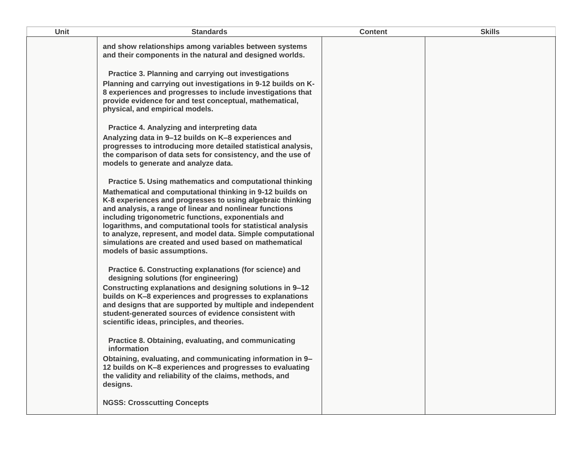| Unit | <b>Standards</b>                                                                                                                                                                                                                                                                                                                                                                                                                                                                                                               | <b>Content</b> | <b>Skills</b> |
|------|--------------------------------------------------------------------------------------------------------------------------------------------------------------------------------------------------------------------------------------------------------------------------------------------------------------------------------------------------------------------------------------------------------------------------------------------------------------------------------------------------------------------------------|----------------|---------------|
|      | and show relationships among variables between systems<br>and their components in the natural and designed worlds.                                                                                                                                                                                                                                                                                                                                                                                                             |                |               |
|      | Practice 3. Planning and carrying out investigations<br>Planning and carrying out investigations in 9-12 builds on K-<br>8 experiences and progresses to include investigations that<br>provide evidence for and test conceptual, mathematical,<br>physical, and empirical models.                                                                                                                                                                                                                                             |                |               |
|      | Practice 4. Analyzing and interpreting data<br>Analyzing data in 9-12 builds on K-8 experiences and<br>progresses to introducing more detailed statistical analysis,<br>the comparison of data sets for consistency, and the use of<br>models to generate and analyze data.                                                                                                                                                                                                                                                    |                |               |
|      | Practice 5. Using mathematics and computational thinking<br>Mathematical and computational thinking in 9-12 builds on<br>K-8 experiences and progresses to using algebraic thinking<br>and analysis, a range of linear and nonlinear functions<br>including trigonometric functions, exponentials and<br>logarithms, and computational tools for statistical analysis<br>to analyze, represent, and model data. Simple computational<br>simulations are created and used based on mathematical<br>models of basic assumptions. |                |               |
|      | Practice 6. Constructing explanations (for science) and<br>designing solutions (for engineering)                                                                                                                                                                                                                                                                                                                                                                                                                               |                |               |
|      | Constructing explanations and designing solutions in 9-12<br>builds on K-8 experiences and progresses to explanations<br>and designs that are supported by multiple and independent<br>student-generated sources of evidence consistent with<br>scientific ideas, principles, and theories.                                                                                                                                                                                                                                    |                |               |
|      | Practice 8. Obtaining, evaluating, and communicating<br>information                                                                                                                                                                                                                                                                                                                                                                                                                                                            |                |               |
|      | Obtaining, evaluating, and communicating information in 9-<br>12 builds on K-8 experiences and progresses to evaluating<br>the validity and reliability of the claims, methods, and<br>designs.                                                                                                                                                                                                                                                                                                                                |                |               |
|      | <b>NGSS: Crosscutting Concepts</b>                                                                                                                                                                                                                                                                                                                                                                                                                                                                                             |                |               |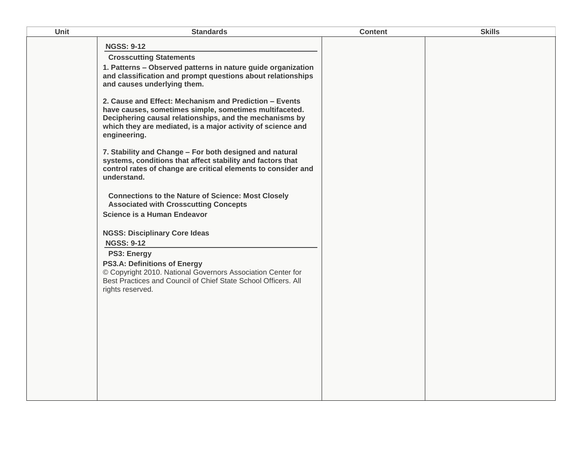| <b>Unit</b> | <b>Standards</b>                                                                                                                                                                                                                                                                                                                                                                                                                                                                                                                                                                                                                                                                         | <b>Content</b> | <b>Skills</b> |
|-------------|------------------------------------------------------------------------------------------------------------------------------------------------------------------------------------------------------------------------------------------------------------------------------------------------------------------------------------------------------------------------------------------------------------------------------------------------------------------------------------------------------------------------------------------------------------------------------------------------------------------------------------------------------------------------------------------|----------------|---------------|
|             | <b>NGSS: 9-12</b><br><b>Crosscutting Statements</b><br>1. Patterns - Observed patterns in nature guide organization<br>and classification and prompt questions about relationships<br>and causes underlying them.<br>2. Cause and Effect: Mechanism and Prediction - Events<br>have causes, sometimes simple, sometimes multifaceted.<br>Deciphering causal relationships, and the mechanisms by<br>which they are mediated, is a major activity of science and<br>engineering.<br>7. Stability and Change - For both designed and natural<br>systems, conditions that affect stability and factors that<br>control rates of change are critical elements to consider and<br>understand. |                |               |
|             | <b>Connections to the Nature of Science: Most Closely</b><br><b>Associated with Crosscutting Concepts</b><br>Science is a Human Endeavor<br><b>NGSS: Disciplinary Core Ideas</b><br><b>NGSS: 9-12</b><br><b>PS3: Energy</b><br><b>PS3.A: Definitions of Energy</b><br>© Copyright 2010. National Governors Association Center for<br>Best Practices and Council of Chief State School Officers. All<br>rights reserved.                                                                                                                                                                                                                                                                  |                |               |
|             |                                                                                                                                                                                                                                                                                                                                                                                                                                                                                                                                                                                                                                                                                          |                |               |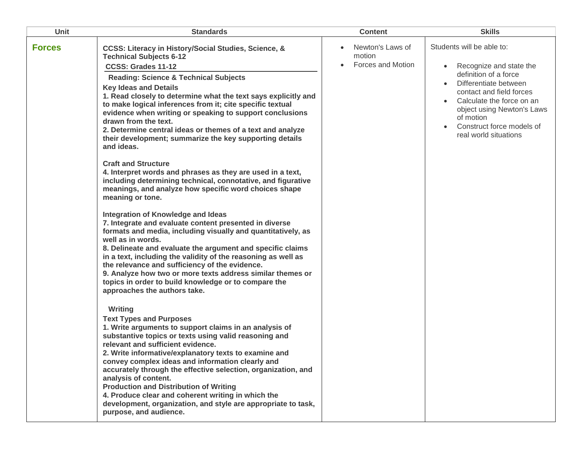| Unit          | <b>Standards</b>                                                                                                                                                                                                                                                                                                                                                                                                                                                                                                                                                      | <b>Content</b>                                               | <b>Skills</b>                                                                                                                                                                                                                                                                 |
|---------------|-----------------------------------------------------------------------------------------------------------------------------------------------------------------------------------------------------------------------------------------------------------------------------------------------------------------------------------------------------------------------------------------------------------------------------------------------------------------------------------------------------------------------------------------------------------------------|--------------------------------------------------------------|-------------------------------------------------------------------------------------------------------------------------------------------------------------------------------------------------------------------------------------------------------------------------------|
| <b>Forces</b> | <b>CCSS: Literacy in History/Social Studies, Science, &amp;</b><br><b>Technical Subjects 6-12</b><br>CCSS: Grades 11-12<br><b>Reading: Science &amp; Technical Subjects</b><br><b>Key Ideas and Details</b><br>1. Read closely to determine what the text says explicitly and<br>to make logical inferences from it; cite specific textual<br>evidence when writing or speaking to support conclusions<br>drawn from the text.<br>2. Determine central ideas or themes of a text and analyze<br>their development; summarize the key supporting details<br>and ideas. | Newton's Laws of<br>$\bullet$<br>motion<br>Forces and Motion | Students will be able to:<br>Recognize and state the<br>definition of a force<br>Differentiate between<br>$\bullet$<br>contact and field forces<br>Calculate the force on an<br>object using Newton's Laws<br>of motion<br>Construct force models of<br>real world situations |
|               | <b>Craft and Structure</b><br>4. Interpret words and phrases as they are used in a text,<br>including determining technical, connotative, and figurative<br>meanings, and analyze how specific word choices shape<br>meaning or tone.<br>Integration of Knowledge and Ideas<br>7. Integrate and evaluate content presented in diverse<br>formats and media, including visually and quantitatively, as<br>well as in words.<br>8. Delineate and evaluate the argument and specific claims                                                                              |                                                              |                                                                                                                                                                                                                                                                               |
|               | in a text, including the validity of the reasoning as well as<br>the relevance and sufficiency of the evidence.<br>9. Analyze how two or more texts address similar themes or<br>topics in order to build knowledge or to compare the<br>approaches the authors take.<br>Writing<br><b>Text Types and Purposes</b>                                                                                                                                                                                                                                                    |                                                              |                                                                                                                                                                                                                                                                               |
|               | 1. Write arguments to support claims in an analysis of<br>substantive topics or texts using valid reasoning and<br>relevant and sufficient evidence.<br>2. Write informative/explanatory texts to examine and<br>convey complex ideas and information clearly and<br>accurately through the effective selection, organization, and<br>analysis of content.<br><b>Production and Distribution of Writing</b><br>4. Produce clear and coherent writing in which the<br>development, organization, and style are appropriate to task,<br>purpose, and audience.          |                                                              |                                                                                                                                                                                                                                                                               |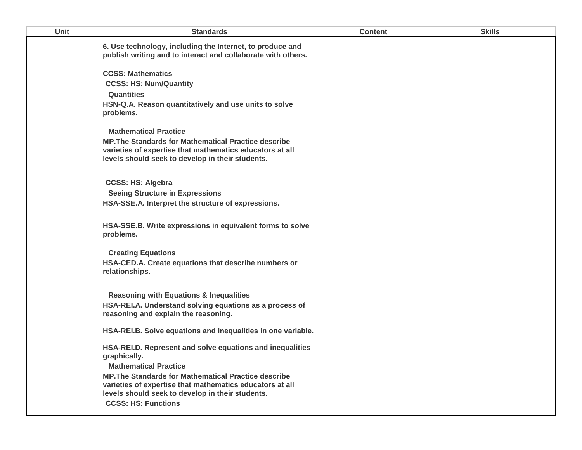| Unit | <b>Standards</b>                                                                                                          | <b>Content</b> | <b>Skills</b> |
|------|---------------------------------------------------------------------------------------------------------------------------|----------------|---------------|
|      | 6. Use technology, including the Internet, to produce and<br>publish writing and to interact and collaborate with others. |                |               |
|      | <b>CCSS: Mathematics</b>                                                                                                  |                |               |
|      | <b>CCSS: HS: Num/Quantity</b>                                                                                             |                |               |
|      | <b>Quantities</b>                                                                                                         |                |               |
|      | HSN-Q.A. Reason quantitatively and use units to solve<br>problems.                                                        |                |               |
|      | <b>Mathematical Practice</b>                                                                                              |                |               |
|      | <b>MP. The Standards for Mathematical Practice describe</b>                                                               |                |               |
|      | varieties of expertise that mathematics educators at all                                                                  |                |               |
|      | levels should seek to develop in their students.                                                                          |                |               |
|      | <b>CCSS: HS: Algebra</b>                                                                                                  |                |               |
|      | <b>Seeing Structure in Expressions</b>                                                                                    |                |               |
|      | HSA-SSE.A. Interpret the structure of expressions.                                                                        |                |               |
|      | HSA-SSE.B. Write expressions in equivalent forms to solve<br>problems.                                                    |                |               |
|      | <b>Creating Equations</b>                                                                                                 |                |               |
|      | HSA-CED.A. Create equations that describe numbers or                                                                      |                |               |
|      | relationships.                                                                                                            |                |               |
|      |                                                                                                                           |                |               |
|      | <b>Reasoning with Equations &amp; Inequalities</b><br>HSA-REI.A. Understand solving equations as a process of             |                |               |
|      | reasoning and explain the reasoning.                                                                                      |                |               |
|      | HSA-REI.B. Solve equations and inequalities in one variable.                                                              |                |               |
|      | HSA-REI.D. Represent and solve equations and inequalities                                                                 |                |               |
|      | graphically.<br><b>Mathematical Practice</b>                                                                              |                |               |
|      | <b>MP. The Standards for Mathematical Practice describe</b>                                                               |                |               |
|      | varieties of expertise that mathematics educators at all                                                                  |                |               |
|      | levels should seek to develop in their students.                                                                          |                |               |
|      | <b>CCSS: HS: Functions</b>                                                                                                |                |               |
|      |                                                                                                                           |                |               |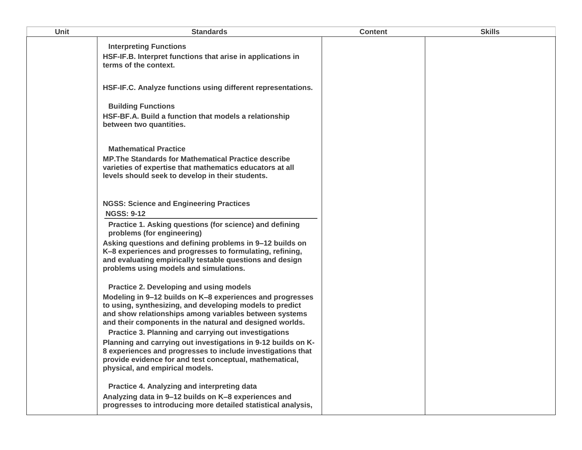| Unit | <b>Standards</b>                                                                                                                                                                                                                                                                                                                                                                                                                                                                                                                                                                    | <b>Content</b> | <b>Skills</b> |
|------|-------------------------------------------------------------------------------------------------------------------------------------------------------------------------------------------------------------------------------------------------------------------------------------------------------------------------------------------------------------------------------------------------------------------------------------------------------------------------------------------------------------------------------------------------------------------------------------|----------------|---------------|
|      | <b>Interpreting Functions</b><br>HSF-IF.B. Interpret functions that arise in applications in<br>terms of the context.                                                                                                                                                                                                                                                                                                                                                                                                                                                               |                |               |
|      | HSF-IF.C. Analyze functions using different representations.                                                                                                                                                                                                                                                                                                                                                                                                                                                                                                                        |                |               |
|      | <b>Building Functions</b><br>HSF-BF.A. Build a function that models a relationship<br>between two quantities.                                                                                                                                                                                                                                                                                                                                                                                                                                                                       |                |               |
|      | <b>Mathematical Practice</b><br><b>MP. The Standards for Mathematical Practice describe</b><br>varieties of expertise that mathematics educators at all<br>levels should seek to develop in their students.                                                                                                                                                                                                                                                                                                                                                                         |                |               |
|      | <b>NGSS: Science and Engineering Practices</b><br><b>NGSS: 9-12</b><br>Practice 1. Asking questions (for science) and defining<br>problems (for engineering)<br>Asking questions and defining problems in 9-12 builds on<br>K-8 experiences and progresses to formulating, refining,<br>and evaluating empirically testable questions and design<br>problems using models and simulations.                                                                                                                                                                                          |                |               |
|      | <b>Practice 2. Developing and using models</b><br>Modeling in 9-12 builds on K-8 experiences and progresses<br>to using, synthesizing, and developing models to predict<br>and show relationships among variables between systems<br>and their components in the natural and designed worlds.<br>Practice 3. Planning and carrying out investigations<br>Planning and carrying out investigations in 9-12 builds on K-<br>8 experiences and progresses to include investigations that<br>provide evidence for and test conceptual, mathematical,<br>physical, and empirical models. |                |               |
|      | Practice 4. Analyzing and interpreting data<br>Analyzing data in 9-12 builds on K-8 experiences and<br>progresses to introducing more detailed statistical analysis,                                                                                                                                                                                                                                                                                                                                                                                                                |                |               |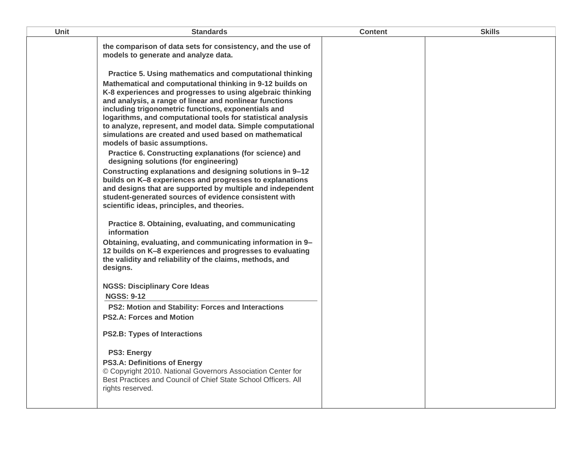| <b>Unit</b> | <b>Standards</b>                                                                                                                                                                                                                                                                                                                                                                                                                                                                                                                                                                                                                                                                                                                                                                                                                                                                                                                                                                                                                                                                                                                                                                                                                                                                                                                                                                                                | <b>Content</b> | <b>Skills</b> |
|-------------|-----------------------------------------------------------------------------------------------------------------------------------------------------------------------------------------------------------------------------------------------------------------------------------------------------------------------------------------------------------------------------------------------------------------------------------------------------------------------------------------------------------------------------------------------------------------------------------------------------------------------------------------------------------------------------------------------------------------------------------------------------------------------------------------------------------------------------------------------------------------------------------------------------------------------------------------------------------------------------------------------------------------------------------------------------------------------------------------------------------------------------------------------------------------------------------------------------------------------------------------------------------------------------------------------------------------------------------------------------------------------------------------------------------------|----------------|---------------|
|             | the comparison of data sets for consistency, and the use of<br>models to generate and analyze data.                                                                                                                                                                                                                                                                                                                                                                                                                                                                                                                                                                                                                                                                                                                                                                                                                                                                                                                                                                                                                                                                                                                                                                                                                                                                                                             |                |               |
|             | <b>Practice 5. Using mathematics and computational thinking</b><br>Mathematical and computational thinking in 9-12 builds on<br>K-8 experiences and progresses to using algebraic thinking<br>and analysis, a range of linear and nonlinear functions<br>including trigonometric functions, exponentials and<br>logarithms, and computational tools for statistical analysis<br>to analyze, represent, and model data. Simple computational<br>simulations are created and used based on mathematical<br>models of basic assumptions.<br>Practice 6. Constructing explanations (for science) and<br>designing solutions (for engineering)<br>Constructing explanations and designing solutions in 9-12<br>builds on K-8 experiences and progresses to explanations<br>and designs that are supported by multiple and independent<br>student-generated sources of evidence consistent with<br>scientific ideas, principles, and theories.<br>Practice 8. Obtaining, evaluating, and communicating<br>information<br>Obtaining, evaluating, and communicating information in 9-<br>12 builds on K-8 experiences and progresses to evaluating<br>the validity and reliability of the claims, methods, and<br>designs.<br><b>NGSS: Disciplinary Core Ideas</b><br><b>NGSS: 9-12</b><br>PS2: Motion and Stability: Forces and Interactions<br><b>PS2.A: Forces and Motion</b><br><b>PS2.B: Types of Interactions</b> |                |               |
|             | PS3: Energy<br>PS3.A: Definitions of Energy<br>© Copyright 2010. National Governors Association Center for<br>Best Practices and Council of Chief State School Officers. All<br>rights reserved.                                                                                                                                                                                                                                                                                                                                                                                                                                                                                                                                                                                                                                                                                                                                                                                                                                                                                                                                                                                                                                                                                                                                                                                                                |                |               |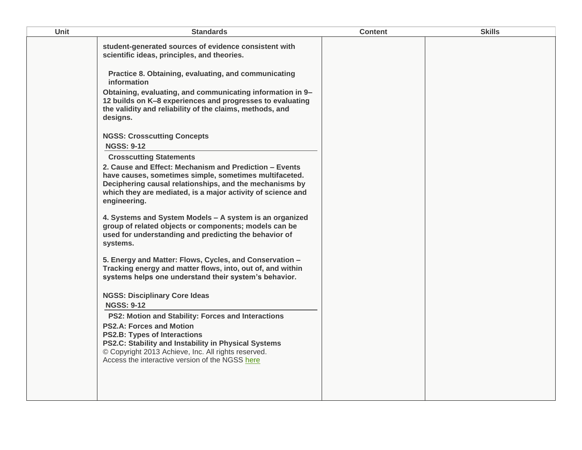| <b>Unit</b> | <b>Standards</b>                                                                                                                                                                                                                                                                                                                                                                                                 | <b>Content</b> | <b>Skills</b> |
|-------------|------------------------------------------------------------------------------------------------------------------------------------------------------------------------------------------------------------------------------------------------------------------------------------------------------------------------------------------------------------------------------------------------------------------|----------------|---------------|
|             | student-generated sources of evidence consistent with<br>scientific ideas, principles, and theories.                                                                                                                                                                                                                                                                                                             |                |               |
|             | Practice 8. Obtaining, evaluating, and communicating<br>information                                                                                                                                                                                                                                                                                                                                              |                |               |
|             | Obtaining, evaluating, and communicating information in 9-<br>12 builds on K-8 experiences and progresses to evaluating<br>the validity and reliability of the claims, methods, and<br>designs.                                                                                                                                                                                                                  |                |               |
|             | <b>NGSS: Crosscutting Concepts</b><br><b>NGSS: 9-12</b>                                                                                                                                                                                                                                                                                                                                                          |                |               |
|             | <b>Crosscutting Statements</b><br>2. Cause and Effect: Mechanism and Prediction – Events<br>have causes, sometimes simple, sometimes multifaceted.<br>Deciphering causal relationships, and the mechanisms by<br>which they are mediated, is a major activity of science and<br>engineering.<br>4. Systems and System Models - A system is an organized<br>group of related objects or components; models can be |                |               |
|             | used for understanding and predicting the behavior of<br>systems.                                                                                                                                                                                                                                                                                                                                                |                |               |
|             | 5. Energy and Matter: Flows, Cycles, and Conservation -<br>Tracking energy and matter flows, into, out of, and within<br>systems helps one understand their system's behavior.                                                                                                                                                                                                                                   |                |               |
|             | <b>NGSS: Disciplinary Core Ideas</b><br><b>NGSS: 9-12</b>                                                                                                                                                                                                                                                                                                                                                        |                |               |
|             | PS2: Motion and Stability: Forces and Interactions<br><b>PS2.A: Forces and Motion</b><br><b>PS2.B: Types of Interactions</b><br>PS2.C: Stability and Instability in Physical Systems<br>© Copyright 2013 Achieve, Inc. All rights reserved.<br>Access the interactive version of the NGSS here                                                                                                                   |                |               |
|             |                                                                                                                                                                                                                                                                                                                                                                                                                  |                |               |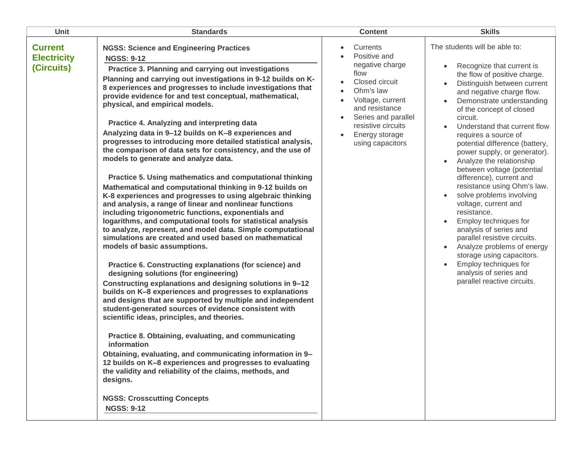| <b>Unit</b>                                        | <b>Standards</b>                                                                                                                                                                                                                                                                                                                                                                                                                                                                                                                                                                                                                                                                                                                                                                                                                                                                                                                                                                                                                                                                                                                                                                                                                                                                                                                                                                                                                                                                                                                                                                                                                                                                                                                                                                                                                                                                                                          | <b>Content</b>                                                                                                                                                                                                                                                  | <b>Skills</b>                                                                                                                                                                                                                                                                                                                                                                                                                                                                                                                                                                                                                                                                                                                                                                              |
|----------------------------------------------------|---------------------------------------------------------------------------------------------------------------------------------------------------------------------------------------------------------------------------------------------------------------------------------------------------------------------------------------------------------------------------------------------------------------------------------------------------------------------------------------------------------------------------------------------------------------------------------------------------------------------------------------------------------------------------------------------------------------------------------------------------------------------------------------------------------------------------------------------------------------------------------------------------------------------------------------------------------------------------------------------------------------------------------------------------------------------------------------------------------------------------------------------------------------------------------------------------------------------------------------------------------------------------------------------------------------------------------------------------------------------------------------------------------------------------------------------------------------------------------------------------------------------------------------------------------------------------------------------------------------------------------------------------------------------------------------------------------------------------------------------------------------------------------------------------------------------------------------------------------------------------------------------------------------------------|-----------------------------------------------------------------------------------------------------------------------------------------------------------------------------------------------------------------------------------------------------------------|--------------------------------------------------------------------------------------------------------------------------------------------------------------------------------------------------------------------------------------------------------------------------------------------------------------------------------------------------------------------------------------------------------------------------------------------------------------------------------------------------------------------------------------------------------------------------------------------------------------------------------------------------------------------------------------------------------------------------------------------------------------------------------------------|
| <b>Current</b><br><b>Electricity</b><br>(Circuits) | <b>NGSS: Science and Engineering Practices</b><br><b>NGSS: 9-12</b><br>Practice 3. Planning and carrying out investigations<br>Planning and carrying out investigations in 9-12 builds on K-<br>8 experiences and progresses to include investigations that<br>provide evidence for and test conceptual, mathematical,<br>physical, and empirical models.<br>Practice 4. Analyzing and interpreting data<br>Analyzing data in 9-12 builds on K-8 experiences and<br>progresses to introducing more detailed statistical analysis,<br>the comparison of data sets for consistency, and the use of<br>models to generate and analyze data.<br><b>Practice 5. Using mathematics and computational thinking</b><br>Mathematical and computational thinking in 9-12 builds on<br>K-8 experiences and progresses to using algebraic thinking<br>and analysis, a range of linear and nonlinear functions<br>including trigonometric functions, exponentials and<br>logarithms, and computational tools for statistical analysis<br>to analyze, represent, and model data. Simple computational<br>simulations are created and used based on mathematical<br>models of basic assumptions.<br>Practice 6. Constructing explanations (for science) and<br>designing solutions (for engineering)<br>Constructing explanations and designing solutions in 9-12<br>builds on K-8 experiences and progresses to explanations<br>and designs that are supported by multiple and independent<br>student-generated sources of evidence consistent with<br>scientific ideas, principles, and theories.<br>Practice 8. Obtaining, evaluating, and communicating<br>information<br>Obtaining, evaluating, and communicating information in 9-<br>12 builds on K-8 experiences and progresses to evaluating<br>the validity and reliability of the claims, methods, and<br>designs.<br><b>NGSS: Crosscutting Concepts</b><br><b>NGSS: 9-12</b> | Currents<br>$\bullet$<br>Positive and<br>negative charge<br>flow<br>Closed circuit<br>$\bullet$<br>Ohm's law<br>$\bullet$<br>Voltage, current<br>and resistance<br>Series and parallel<br>$\bullet$<br>resistive circuits<br>Energy storage<br>using capacitors | The students will be able to:<br>Recognize that current is<br>the flow of positive charge.<br>Distinguish between current<br>and negative charge flow.<br>Demonstrate understanding<br>of the concept of closed<br>circuit.<br>Understand that current flow<br>requires a source of<br>potential difference (battery,<br>power supply, or generator).<br>Analyze the relationship<br>between voltage (potential<br>difference), current and<br>resistance using Ohm's law.<br>solve problems involving<br>voltage, current and<br>resistance.<br>Employ techniques for<br>analysis of series and<br>parallel resistive circuits.<br>Analyze problems of energy<br>$\bullet$<br>storage using capacitors.<br>Employ techniques for<br>analysis of series and<br>parallel reactive circuits. |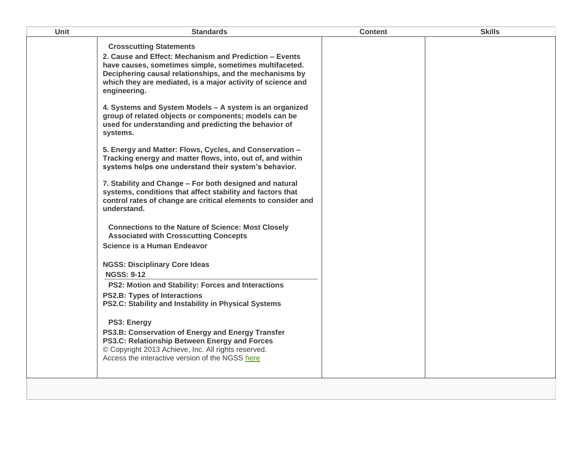| <b>Unit</b> | <b>Standards</b>                                                                                                                                                                                                                                                                             | <b>Content</b> | <b>Skills</b> |
|-------------|----------------------------------------------------------------------------------------------------------------------------------------------------------------------------------------------------------------------------------------------------------------------------------------------|----------------|---------------|
|             | <b>Crosscutting Statements</b><br>2. Cause and Effect: Mechanism and Prediction - Events<br>have causes, sometimes simple, sometimes multifaceted.<br>Deciphering causal relationships, and the mechanisms by<br>which they are mediated, is a major activity of science and<br>engineering. |                |               |
|             | 4. Systems and System Models - A system is an organized<br>group of related objects or components; models can be<br>used for understanding and predicting the behavior of<br>systems.                                                                                                        |                |               |
|             | 5. Energy and Matter: Flows, Cycles, and Conservation -<br>Tracking energy and matter flows, into, out of, and within<br>systems helps one understand their system's behavior.                                                                                                               |                |               |
|             | 7. Stability and Change - For both designed and natural<br>systems, conditions that affect stability and factors that<br>control rates of change are critical elements to consider and<br>understand.                                                                                        |                |               |
|             | <b>Connections to the Nature of Science: Most Closely</b><br><b>Associated with Crosscutting Concepts</b><br>Science is a Human Endeavor                                                                                                                                                     |                |               |
|             | <b>NGSS: Disciplinary Core Ideas</b><br><b>NGSS: 9-12</b><br>PS2: Motion and Stability: Forces and Interactions<br><b>PS2.B: Types of Interactions</b><br>PS2.C: Stability and Instability in Physical Systems                                                                               |                |               |
|             | PS3: Energy<br>PS3.B: Conservation of Energy and Energy Transfer<br>PS3.C: Relationship Between Energy and Forces<br>© Copyright 2013 Achieve, Inc. All rights reserved.<br>Access the interactive version of the NGSS here                                                                  |                |               |